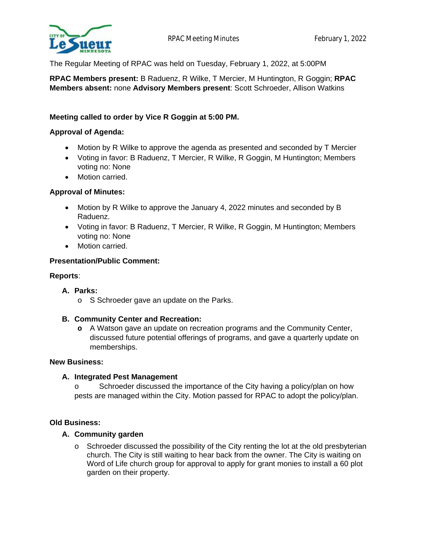

The Regular Meeting of RPAC was held on Tuesday, February 1, 2022, at 5:00PM

**RPAC Members present:** B Raduenz, R Wilke, T Mercier, M Huntington, R Goggin; **RPAC Members absent:** none **Advisory Members present**: Scott Schroeder, Allison Watkins

# **Meeting called to order by Vice R Goggin at 5:00 PM.**

## **Approval of Agenda:**

- Motion by R Wilke to approve the agenda as presented and seconded by T Mercier
- Voting in favor: B Raduenz, T Mercier, R Wilke, R Goggin, M Huntington; Members voting no: None
- Motion carried.

## **Approval of Minutes:**

- Motion by R Wilke to approve the January 4, 2022 minutes and seconded by B Raduenz.
- Voting in favor: B Raduenz, T Mercier, R Wilke, R Goggin, M Huntington; Members voting no: None
- Motion carried.

## **Presentation/Public Comment:**

### **Reports**:

### **A. Parks:**

o S Schroeder gave an update on the Parks.

### **B. Community Center and Recreation:**

**o** A Watson gave an update on recreation programs and the Community Center, discussed future potential offerings of programs, and gave a quarterly update on memberships.

## **New Business:**

### **A. Integrated Pest Management**

o Schroeder discussed the importance of the City having a policy/plan on how pests are managed within the City. Motion passed for RPAC to adopt the policy/plan.

### **Old Business:**

### **A. Community garden**

 $\circ$  Schroeder discussed the possibility of the City renting the lot at the old presbyterian church. The City is still waiting to hear back from the owner. The City is waiting on Word of Life church group for approval to apply for grant monies to install a 60 plot garden on their property.